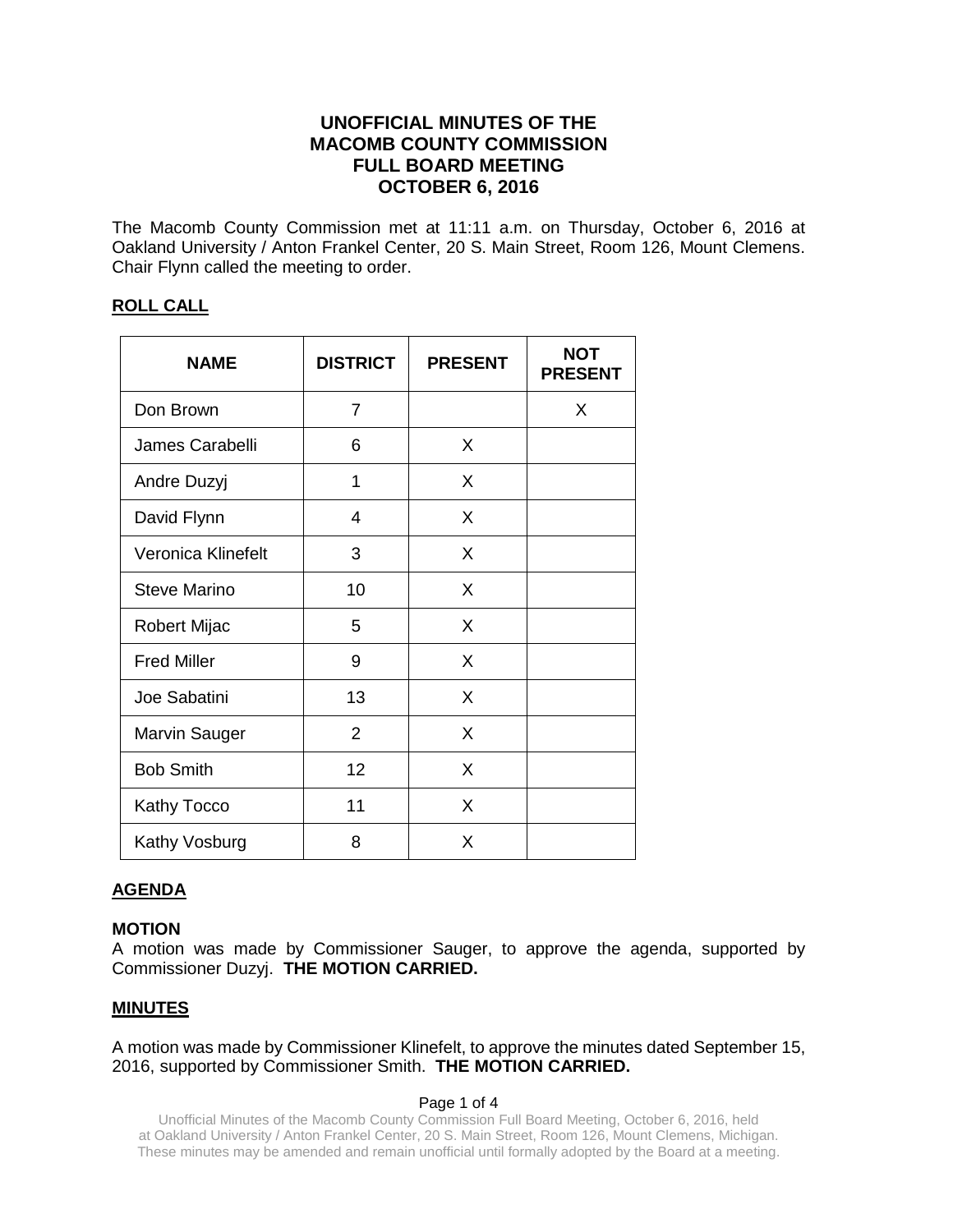# **UNOFFICIAL MINUTES OF THE MACOMB COUNTY COMMISSION FULL BOARD MEETING OCTOBER 6, 2016**

The Macomb County Commission met at 11:11 a.m. on Thursday, October 6, 2016 at Oakland University / Anton Frankel Center, 20 S. Main Street, Room 126, Mount Clemens. Chair Flynn called the meeting to order.

## **ROLL CALL**

| <b>NAME</b>          | <b>DISTRICT</b> | <b>PRESENT</b> | <b>NOT</b><br><b>PRESENT</b> |
|----------------------|-----------------|----------------|------------------------------|
| Don Brown            | $\overline{7}$  |                | X                            |
| James Carabelli      | 6               | X              |                              |
| Andre Duzyj          | 1               | X              |                              |
| David Flynn          | 4               | X              |                              |
| Veronica Klinefelt   | 3               | X              |                              |
| <b>Steve Marino</b>  | 10              | X              |                              |
| Robert Mijac         | 5               | X              |                              |
| <b>Fred Miller</b>   | 9               | X              |                              |
| Joe Sabatini         | 13              | X              |                              |
| <b>Marvin Sauger</b> | $\overline{2}$  | X              |                              |
| <b>Bob Smith</b>     | 12              | X              |                              |
| Kathy Tocco          | 11              | X              |                              |
| Kathy Vosburg        | 8               | X              |                              |

# **AGENDA**

## **MOTION**

A motion was made by Commissioner Sauger, to approve the agenda, supported by Commissioner Duzyj. **THE MOTION CARRIED.**

# **MINUTES**

A motion was made by Commissioner Klinefelt, to approve the minutes dated September 15, 2016, supported by Commissioner Smith. **THE MOTION CARRIED.** 

#### Page 1 of 4

Unofficial Minutes of the Macomb County Commission Full Board Meeting, October 6, 2016, held at Oakland University / Anton Frankel Center, 20 S. Main Street, Room 126, Mount Clemens, Michigan. These minutes may be amended and remain unofficial until formally adopted by the Board at a meeting.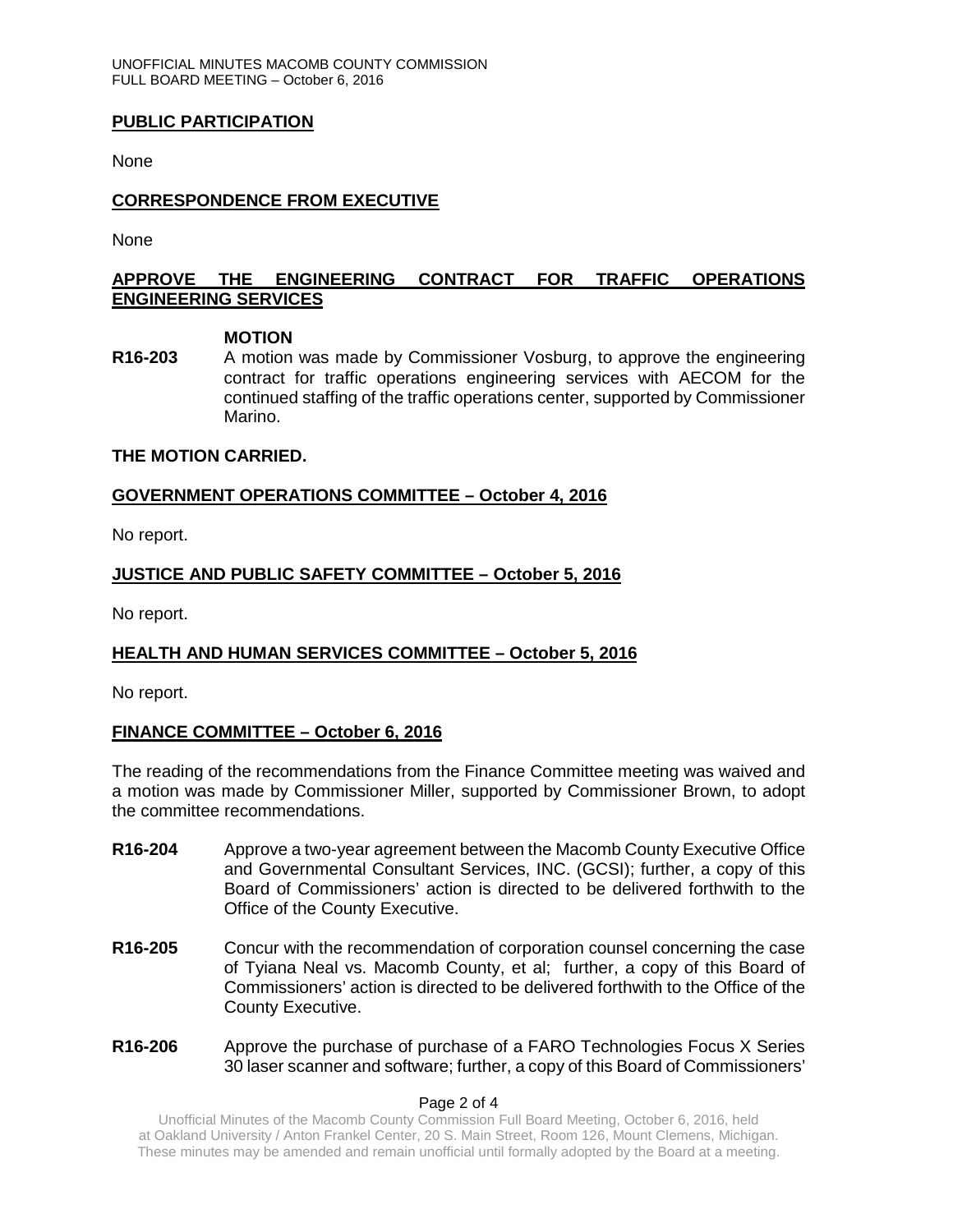## **PUBLIC PARTICIPATION**

None

## **CORRESPONDENCE FROM EXECUTIVE**

None

# **APPROVE THE ENGINEERING CONTRACT FOR TRAFFIC OPERATIONS ENGINEERING SERVICES**

### **MOTION**

**R16-203** A motion was made by Commissioner Vosburg, to approve the engineering contract for traffic operations engineering services with AECOM for the continued staffing of the traffic operations center, supported by Commissioner Marino.

## **THE MOTION CARRIED.**

## **GOVERNMENT OPERATIONS COMMITTEE – October 4, 2016**

No report.

# **JUSTICE AND PUBLIC SAFETY COMMITTEE – October 5, 2016**

No report.

## **HEALTH AND HUMAN SERVICES COMMITTEE – October 5, 2016**

No report.

# **FINANCE COMMITTEE – October 6, 2016**

The reading of the recommendations from the Finance Committee meeting was waived and a motion was made by Commissioner Miller, supported by Commissioner Brown, to adopt the committee recommendations.

- **R16-204** Approve a two-year agreement between the Macomb County Executive Office and Governmental Consultant Services, INC. (GCSI); further, a copy of this Board of Commissioners' action is directed to be delivered forthwith to the Office of the County Executive.
- **R16-205** Concur with the recommendation of corporation counsel concerning the case of Tyiana Neal vs. Macomb County, et al; further, a copy of this Board of Commissioners' action is directed to be delivered forthwith to the Office of the County Executive.
- **R16-206** Approve the purchase of purchase of a FARO Technologies Focus X Series 30 laser scanner and software; further, a copy of this Board of Commissioners'

#### Page 2 of 4

Unofficial Minutes of the Macomb County Commission Full Board Meeting, October 6, 2016, held at Oakland University / Anton Frankel Center, 20 S. Main Street, Room 126, Mount Clemens, Michigan. These minutes may be amended and remain unofficial until formally adopted by the Board at a meeting.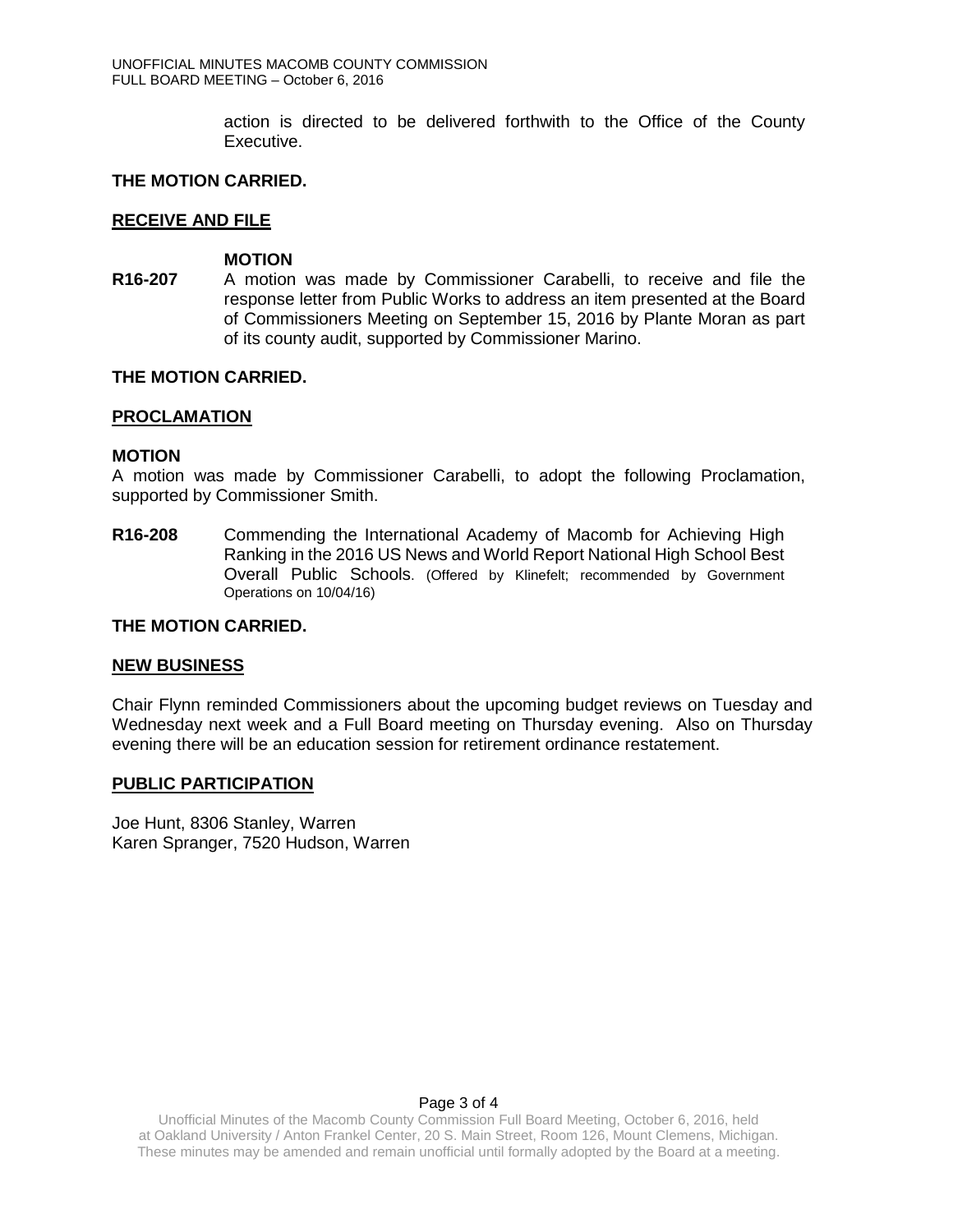action is directed to be delivered forthwith to the Office of the County Executive.

## **THE MOTION CARRIED.**

### **RECEIVE AND FILE**

#### **MOTION**

**R16-207** A motion was made by Commissioner Carabelli, to receive and file the response letter from Public Works to address an item presented at the Board of Commissioners Meeting on September 15, 2016 by Plante Moran as part of its county audit, supported by Commissioner Marino.

## **THE MOTION CARRIED.**

### **PROCLAMATION**

### **MOTION**

A motion was made by Commissioner Carabelli, to adopt the following Proclamation, supported by Commissioner Smith.

**R16-208** Commending the International Academy of Macomb for Achieving High Ranking in the 2016 US News and World Report National High School Best Overall Public Schools. (Offered by Klinefelt; recommended by Government Operations on 10/04/16)

### **THE MOTION CARRIED.**

#### **NEW BUSINESS**

Chair Flynn reminded Commissioners about the upcoming budget reviews on Tuesday and Wednesday next week and a Full Board meeting on Thursday evening. Also on Thursday evening there will be an education session for retirement ordinance restatement.

#### **PUBLIC PARTICIPATION**

Joe Hunt, 8306 Stanley, Warren Karen Spranger, 7520 Hudson, Warren

### Page 3 of 4

Unofficial Minutes of the Macomb County Commission Full Board Meeting, October 6, 2016, held at Oakland University / Anton Frankel Center, 20 S. Main Street, Room 126, Mount Clemens, Michigan. These minutes may be amended and remain unofficial until formally adopted by the Board at a meeting.